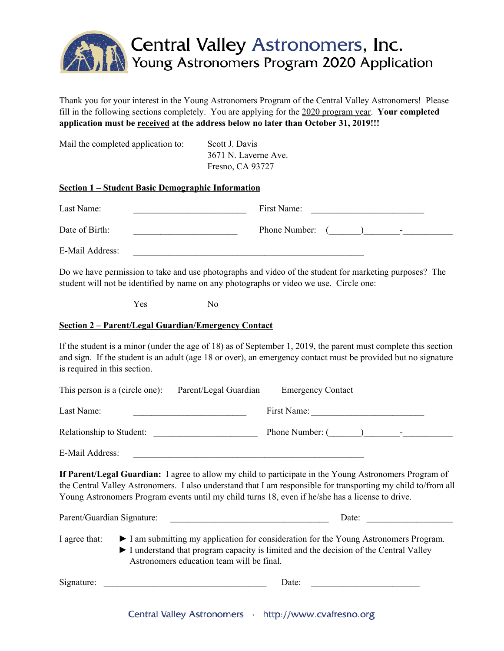

Thank you for your interest in the Young Astronomers Program of the Central Valley Astronomers! Please fill in the following sections completely. You are applying for the 2020 program year. **Your completed application must be received at the address below no later than October 31, 2019!!!**

| Mail the completed application to: | Scott J. Davis       |
|------------------------------------|----------------------|
|                                    | 3671 N. Laverne Ave. |
|                                    | Fresno, CA 93727     |
|                                    |                      |

## **Section 1 – Student Basic Demographic Information**

| Last Name:      | First Name:   |                          |
|-----------------|---------------|--------------------------|
| Date of Birth:  | Phone Number: | $\overline{\phantom{0}}$ |
| E-Mail Address: |               |                          |

Do we have permission to take and use photographs and video of the student for marketing purposes? The student will not be identified by name on any photographs or video we use. Circle one:

Yes No

## **Section 2 – Parent/Legal Guardian/Emergency Contact**

If the student is a minor (under the age of 18) as of September 1, 2019, the parent must complete this section and sign. If the student is an adult (age 18 or over), an emergency contact must be provided but no signature is required in this section.

| This person is a (circle one): Parent/Legal Guardian                                                                                                                                                                                                                                                                        |                                                                                                                                                                                                                          | <b>Emergency Contact</b> |  |  |
|-----------------------------------------------------------------------------------------------------------------------------------------------------------------------------------------------------------------------------------------------------------------------------------------------------------------------------|--------------------------------------------------------------------------------------------------------------------------------------------------------------------------------------------------------------------------|--------------------------|--|--|
| Last Name:                                                                                                                                                                                                                                                                                                                  |                                                                                                                                                                                                                          |                          |  |  |
| Relationship to Student:                                                                                                                                                                                                                                                                                                    |                                                                                                                                                                                                                          | Phone Number: ( ) -      |  |  |
| E-Mail Address:                                                                                                                                                                                                                                                                                                             | <u> 1980 - John Stone, Amerikaansk politiker (</u> † 1920)                                                                                                                                                               |                          |  |  |
| If Parent/Legal Guardian: I agree to allow my child to participate in the Young Astronomers Program of<br>the Central Valley Astronomers. I also understand that I am responsible for transporting my child to/from all<br>Young Astronomers Program events until my child turns 18, even if he/she has a license to drive. |                                                                                                                                                                                                                          |                          |  |  |
|                                                                                                                                                                                                                                                                                                                             |                                                                                                                                                                                                                          | Date:                    |  |  |
| I agree that:                                                                                                                                                                                                                                                                                                               | I am submitting my application for consideration for the Young Astronomers Program.<br>I understand that program capacity is limited and the decision of the Central Valley<br>Astronomers education team will be final. |                          |  |  |
| Signature:                                                                                                                                                                                                                                                                                                                  |                                                                                                                                                                                                                          | Date:                    |  |  |